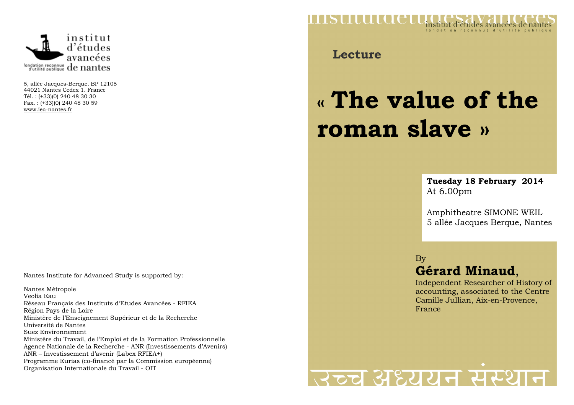

5, allée Jacques-Berque. BP 12105 44021 Nantes Cedex 1. France Tél. : (+33)(0) 240 48 30 30 Fax. : (+33)(0) 240 48 30 59 www.iea-nantes.fr

Nantes Institute for Advanced Study is supported by:

Nantes Métropole Veolia Eau Réseau Français des Instituts d'Etudes Avancées - RFIEA Région Pays de la Loire Ministère de l'Enseignement Supérieur et de la Recherche Université de Nantes Suez Environnement Ministère du Travail, de l'Emploi et de la Formation Professionnelle Agence Nationale de la Recherche - ANR (Investissements d'Avenirs) ANR – Investissement d'avenir (Labex RFIEA+) Programme Eurias (co-financé par la Commission européenne)Organisation Internationale du Travail - OIT



**Lecture**

## **« The value of theroman slave »**

**Tuesday 18 February 2014** At 6.00pm

Amphitheatre SIMONE WEIL 5 allée Jacques Berque, Nantes

By

## **Gérard Minaud**,

 Independent Researcher of History of accounting, associated to the Centre Camille Jullian, Aix-en-Provence, France

## स्टूच अध्ययन संस्था